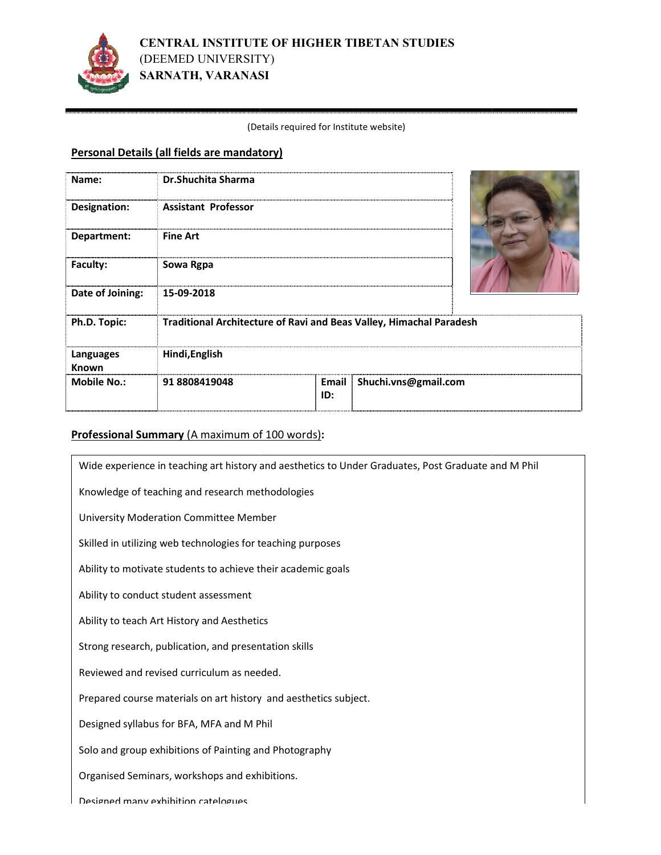

#### (Det Details required for Institute website)

# **Personal Details (all fields are mandatory)**

| Name:               | Dr.Shuchita Sharma                                                  |              |                      |  |
|---------------------|---------------------------------------------------------------------|--------------|----------------------|--|
| <b>Designation:</b> | <b>Assistant Professor</b>                                          |              |                      |  |
| Department:         | <b>Fine Art</b>                                                     |              |                      |  |
| Faculty:            | Sowa Rgpa                                                           |              |                      |  |
| Date of Joining:    | 15-09-2018                                                          |              |                      |  |
| Ph.D. Topic:        | Traditional Architecture of Ravi and Beas Valley, Himachal Paradesh |              |                      |  |
| Languages<br>Known  | Hindi, English                                                      |              |                      |  |
| <b>Mobile No.:</b>  | 918808419048                                                        | Email<br>ID: | Shuchi.vns@gmail.com |  |

# Professional Summary (A maximum of 100 words):

| Wide experience in teaching art history and aesthetics to Under Graduates, Post Graduate and M Phil |  |  |  |  |
|-----------------------------------------------------------------------------------------------------|--|--|--|--|
| Knowledge of teaching and research methodologies                                                    |  |  |  |  |
| University Moderation Committee Member                                                              |  |  |  |  |
| Skilled in utilizing web technologies for teaching purposes                                         |  |  |  |  |
| Ability to motivate students to achieve their academic goals                                        |  |  |  |  |
| Ability to conduct student assessment                                                               |  |  |  |  |
| Ability to teach Art History and Aesthetics                                                         |  |  |  |  |
| Strong research, publication, and presentation skills                                               |  |  |  |  |
| Reviewed and revised curriculum as needed.                                                          |  |  |  |  |
| Prepared course materials on art history and aesthetics subject.                                    |  |  |  |  |
| Designed syllabus for BFA, MFA and M Phil                                                           |  |  |  |  |
| Solo and group exhibitions of Painting and Photography                                              |  |  |  |  |
| Organised Seminars, workshops and exhibitions.                                                      |  |  |  |  |
| Designed many exhibition catelogues                                                                 |  |  |  |  |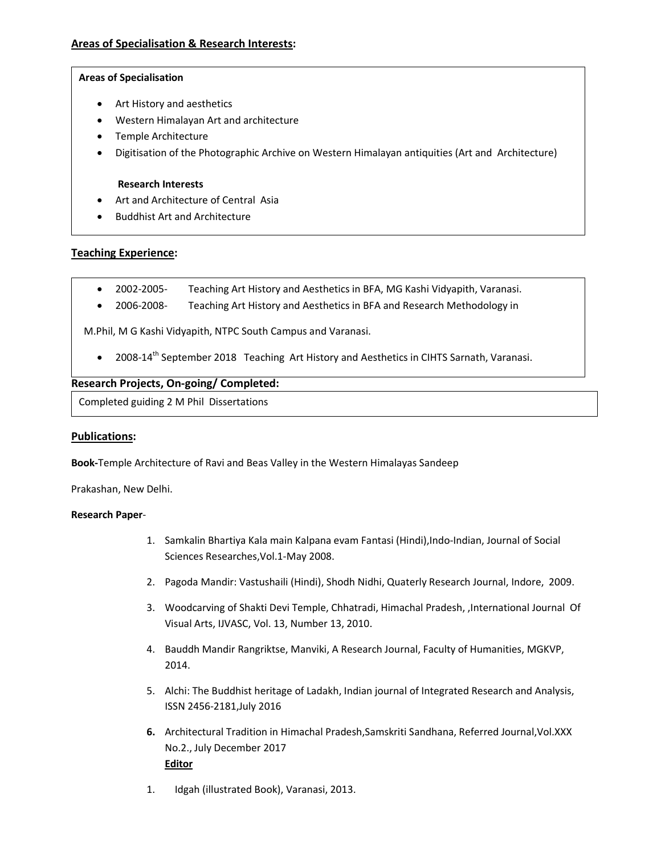### **Areas of Specialisation**

- Art History and aesthetics
- Western Himalayan Art and architecture
- Temple Architecture
- Digitisation of the Photographic Archive on Western Himalayan antiquities (Art and Architecture)

#### **Research Interests**

- Art and Architecture of Central Asia
- Buddhist Art and Architecture

# **Teaching Experience:**

- 2002-2005- Teaching Art History and Aesthetics in BFA, MG Kashi Vidyapith, Varanasi.
- 2006-2008- Teaching Art History and Aesthetics in BFA and Research Methodology in

M.Phil, M G Kashi Vidyapith, NTPC South Campus and Varanasi.

• 2008-14th September 2018 Teaching Art History and Aesthetics in CIHTS Sarnath, Varanasi.

### **Research Projects, On-going/ Completed:**

Completed guiding 2 M Phil Dissertations

# **Publications:**

**Book-**Temple Architecture of Ravi and Beas Valley in the Western Himalayas Sandeep

Prakashan, New Delhi.

#### **Research Paper**-

- 1. Samkalin Bhartiya Kala main Kalpana evam Fantasi (Hindi),Indo-Indian, Journal of Social Sciences Researches,Vol.1-May 2008.
- 2. Pagoda Mandir: Vastushaili (Hindi), Shodh Nidhi, Quaterly Research Journal, Indore, 2009.
- 3. Woodcarving of Shakti Devi Temple, Chhatradi, Himachal Pradesh, ,International Journal Of Visual Arts, IJVASC, Vol. 13, Number 13, 2010.
- 4. Bauddh Mandir Rangriktse, Manviki, A Research Journal, Faculty of Humanities, MGKVP, 2014.
- 5. Alchi: The Buddhist heritage of Ladakh, Indian journal of Integrated Research and Analysis, ISSN 2456-2181,July 2016
- **6.** Architectural Tradition in Himachal Pradesh,Samskriti Sandhana, Referred Journal,Vol.XXX No.2., July December 2017 **Editor**
- 1. Idgah (illustrated Book), Varanasi, 2013.